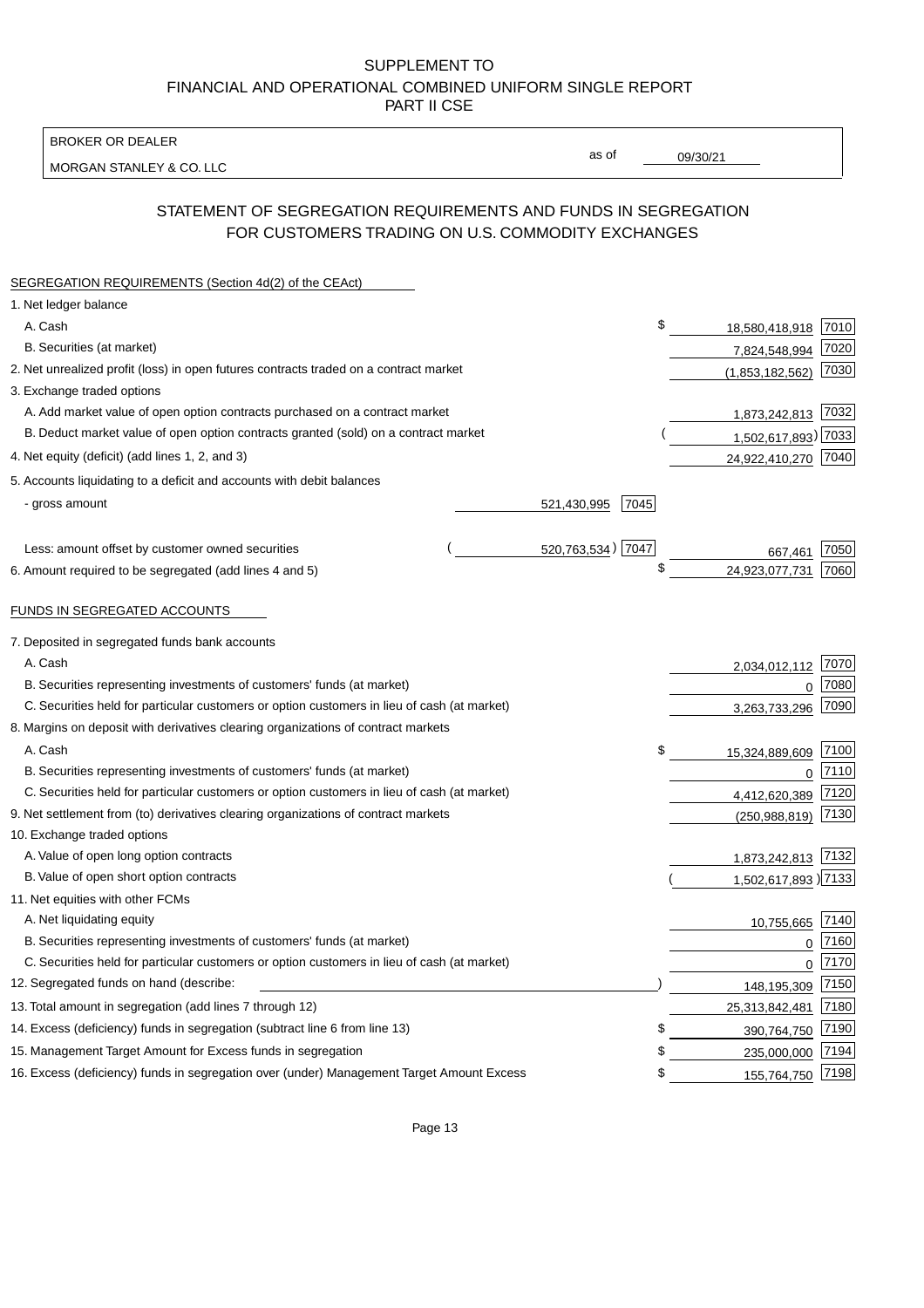BROKER OR DEALER

MORGAN STANLEY & CO. LLC

09/30/21

as of

# STATEMENT OF SEGREGATION REQUIREMENTS AND FUNDS IN SEGREGATION FOR CUSTOMERS TRADING ON U.S. COMMODITY EXCHANGES

| SEGREGATION REQUIREMENTS (Section 4d(2) of the CEAct)                                       |                     |                     |      |
|---------------------------------------------------------------------------------------------|---------------------|---------------------|------|
| 1. Net ledger balance                                                                       |                     |                     |      |
| A. Cash                                                                                     | \$                  | 18,580,418,918      | 7010 |
| B. Securities (at market)                                                                   |                     | 7,824,548,994       | 7020 |
| 2. Net unrealized profit (loss) in open futures contracts traded on a contract market       |                     | (1,853,182,562)     | 7030 |
| 3. Exchange traded options                                                                  |                     |                     |      |
| A. Add market value of open option contracts purchased on a contract market                 |                     | 1,873,242,813 7032  |      |
| B. Deduct market value of open option contracts granted (sold) on a contract market         |                     | 1,502,617,893) 7033 |      |
| 4. Net equity (deficit) (add lines 1, 2, and 3)                                             |                     | 24,922,410,270 7040 |      |
| 5. Accounts liquidating to a deficit and accounts with debit balances                       |                     |                     |      |
| - gross amount                                                                              | 521,430,995<br>7045 |                     |      |
|                                                                                             |                     |                     |      |
| Less: amount offset by customer owned securities                                            | 520,763,534) 7047   | 667,461             | 7050 |
| 6. Amount required to be segregated (add lines 4 and 5)                                     | \$                  | 24,923,077,731      | 7060 |
|                                                                                             |                     |                     |      |
| FUNDS IN SEGREGATED ACCOUNTS                                                                |                     |                     |      |
| 7. Deposited in segregated funds bank accounts                                              |                     |                     |      |
| A. Cash                                                                                     |                     | 2,034,012,112       | 7070 |
| B. Securities representing investments of customers' funds (at market)                      |                     | 0                   | 7080 |
| C. Securities held for particular customers or option customers in lieu of cash (at market) |                     | 3,263,733,296       | 7090 |
| 8. Margins on deposit with derivatives clearing organizations of contract markets           |                     |                     |      |
| A. Cash                                                                                     | \$                  | 15,324,889,609      | 7100 |
| B. Securities representing investments of customers' funds (at market)                      |                     | $\mathbf 0$         | 7110 |
| C. Securities held for particular customers or option customers in lieu of cash (at market) |                     | 4,412,620,389       | 7120 |
| 9. Net settlement from (to) derivatives clearing organizations of contract markets          |                     | (250, 988, 819)     | 7130 |
| 10. Exchange traded options                                                                 |                     |                     |      |
| A. Value of open long option contracts                                                      |                     | 1,873,242,813 7132  |      |
| B. Value of open short option contracts                                                     |                     | 1,502,617,893) 7133 |      |
| 11. Net equities with other FCMs                                                            |                     |                     |      |
| A. Net liquidating equity                                                                   |                     | 10,755,665          | 7140 |
| B. Securities representing investments of customers' funds (at market)                      |                     | $\Omega$            | 7160 |
| C. Securities held for particular customers or option customers in lieu of cash (at market) |                     | $\mathbf 0$         | 7170 |
| 12. Segregated funds on hand (describe:                                                     |                     | 148,195,309         | 7150 |
| 13. Total amount in segregation (add lines 7 through 12)                                    |                     | 25,313,842,481      | 7180 |
| 14. Excess (deficiency) funds in segregation (subtract line 6 from line 13)                 | \$                  | 390,764,750         | 7190 |
| 15. Management Target Amount for Excess funds in segregation                                | \$                  | 235,000,000         | 7194 |
| 16. Excess (deficiency) funds in segregation over (under) Management Target Amount Excess   | \$                  | 155,764,750         | 7198 |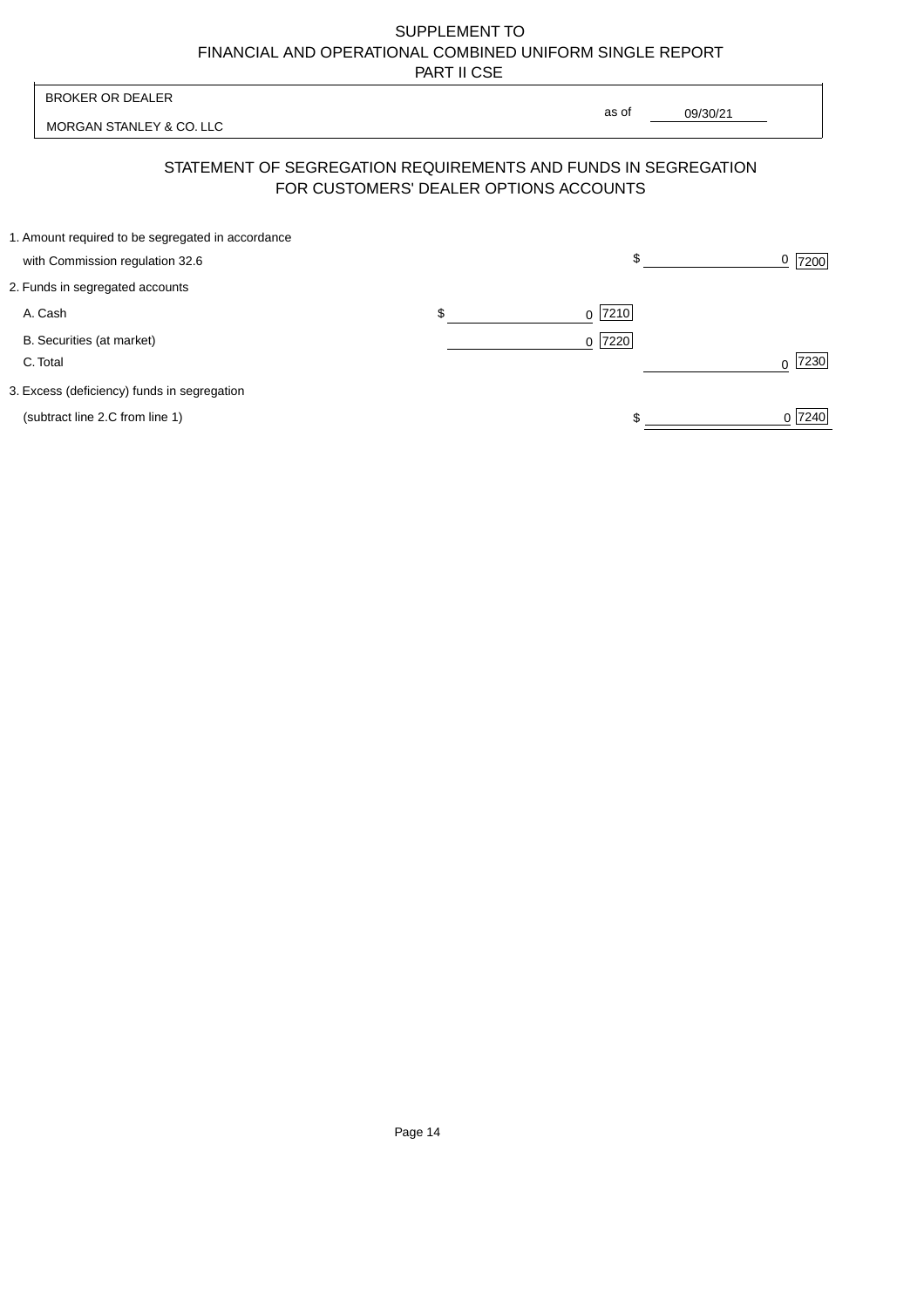| <b>BROKER OR DEALER</b>                                        | as of                                  |           |
|----------------------------------------------------------------|----------------------------------------|-----------|
| MORGAN STANLEY & CO. LLC                                       | 09/30/21                               |           |
| STATEMENT OF SEGREGATION REQUIREMENTS AND FUNDS IN SEGREGATION | FOR CUSTOMERS' DEALER OPTIONS ACCOUNTS |           |
| 1. Amount required to be segregated in accordance              |                                        |           |
| with Commission regulation 32.6                                | \$                                     | 0<br>7200 |
| 2. Funds in segregated accounts                                |                                        |           |
| A. Cash                                                        | \$<br> 7210 <br>0                      |           |
| B. Securities (at market)                                      | 7220<br>$\Omega$                       |           |
| C. Total                                                       |                                        | 7230<br>U |
| 3. Excess (deficiency) funds in segregation                    |                                        |           |
| (subtract line 2.C from line 1)                                |                                        | 0 7240    |
|                                                                |                                        |           |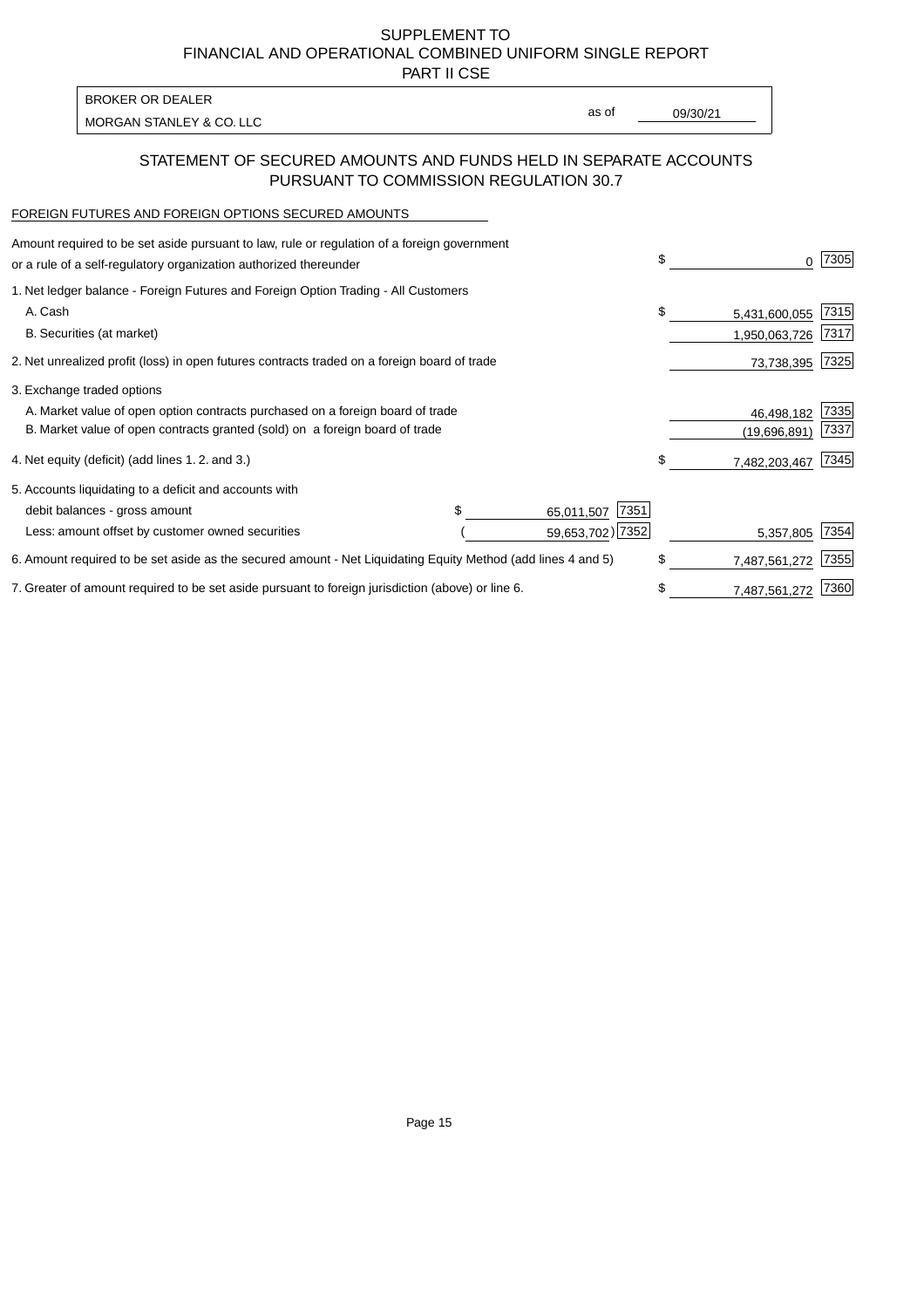PART II CSE

| <b>BROKER OR DEALER</b>  |       |          |
|--------------------------|-------|----------|
| MORGAN STANLEY & CO. LLC | as of | 09/30/21 |
|                          |       |          |

### STATEMENT OF SECURED AMOUNTS AND FUNDS HELD IN SEPARATE ACCOUNTS PURSUANT TO COMMISSION REGULATION 30.7

#### FOREIGN FUTURES AND FOREIGN OPTIONS SECURED AMOUNTS

| Amount required to be set aside pursuant to law, rule or regulation of a foreign government<br>or a rule of a self-regulatory organization authorized thereunder |  |                    | \$ | O.            | 7305 |
|------------------------------------------------------------------------------------------------------------------------------------------------------------------|--|--------------------|----|---------------|------|
| 1. Net ledger balance - Foreign Futures and Foreign Option Trading - All Customers                                                                               |  |                    |    |               |      |
| A. Cash                                                                                                                                                          |  |                    | \$ | 5,431,600,055 | 7315 |
| B. Securities (at market)                                                                                                                                        |  |                    |    | 1,950,063,726 | 7317 |
| 2. Net unrealized profit (loss) in open futures contracts traded on a foreign board of trade                                                                     |  |                    |    | 73,738,395    | 7325 |
| 3. Exchange traded options                                                                                                                                       |  |                    |    |               |      |
| A. Market value of open option contracts purchased on a foreign board of trade                                                                                   |  |                    |    | 46,498,182    | 7335 |
| B. Market value of open contracts granted (sold) on a foreign board of trade                                                                                     |  |                    |    | (19,696,891)  | 7337 |
| 4. Net equity (deficit) (add lines 1.2. and 3.)                                                                                                                  |  |                    |    | 7,482,203,467 | 7345 |
| 5. Accounts liquidating to a deficit and accounts with                                                                                                           |  |                    |    |               |      |
| debit balances - gross amount                                                                                                                                    |  | 7351<br>65,011,507 |    |               |      |
| Less: amount offset by customer owned securities                                                                                                                 |  | 59,653,702) 7352   |    | 5,357,805     | 7354 |
| 6. Amount required to be set aside as the secured amount - Net Liquidating Equity Method (add lines 4 and 5)                                                     |  |                    | \$ | 7,487,561,272 | 7355 |
| 7. Greater of amount required to be set aside pursuant to foreign jurisdiction (above) or line 6.                                                                |  |                    | \$ | 7,487,561,272 | 7360 |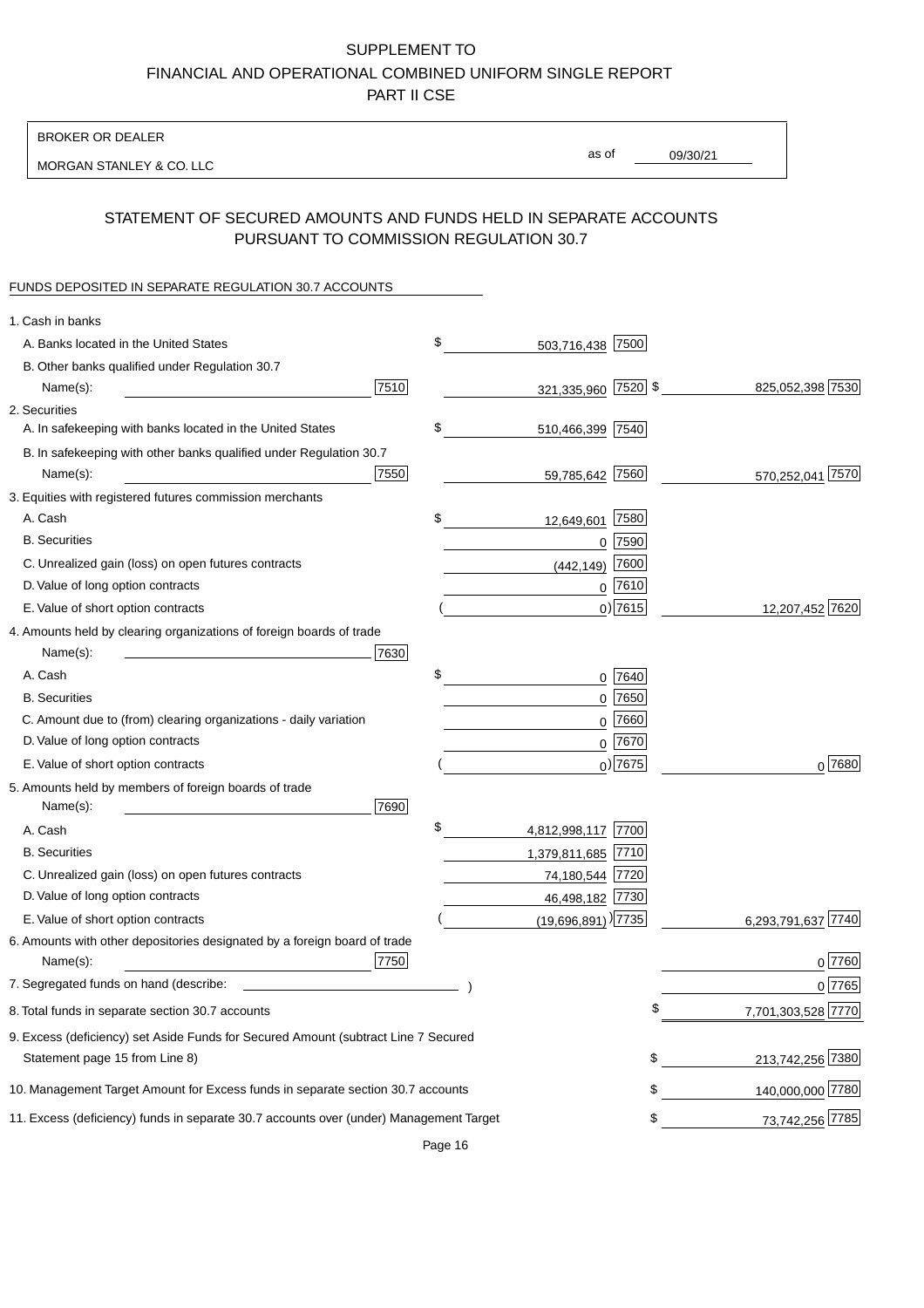BROKER OR DEALER

MORGAN STANLEY & CO. LLC

09/30/21 as of

## STATEMENT OF SECURED AMOUNTS AND FUNDS HELD IN SEPARATE ACCOUNTS PURSUANT TO COMMISSION REGULATION 30.7

#### FUNDS DEPOSITED IN SEPARATE REGULATION 30.7 ACCOUNTS

| 1. Cash in banks                                                                       |      |                                  |             |                       |
|----------------------------------------------------------------------------------------|------|----------------------------------|-------------|-----------------------|
| A. Banks located in the United States                                                  |      | \$<br>503,716,438 7500           |             |                       |
| B. Other banks qualified under Regulation 30.7                                         |      |                                  |             |                       |
| Name(s):                                                                               | 7510 | 321,335,960 7520 \$              |             | 825,052,398 7530      |
| 2. Securities                                                                          |      |                                  |             |                       |
| A. In safekeeping with banks located in the United States                              |      | \$<br>510,466,399 7540           |             |                       |
| B. In safekeeping with other banks qualified under Regulation 30.7                     |      |                                  |             |                       |
| Name(s):                                                                               | 7550 | 59,785,642 7560                  |             | 570,252,041 7570      |
| 3. Equities with registered futures commission merchants                               |      |                                  |             |                       |
| A. Cash                                                                                |      | \$<br>12,649,601                 | 7580        |                       |
| <b>B.</b> Securities                                                                   |      |                                  | $0$ 7590    |                       |
| C. Unrealized gain (loss) on open futures contracts                                    |      | (442, 149)                       | 7600        |                       |
| D. Value of long option contracts                                                      |      |                                  | $0$ 7610    |                       |
| E. Value of short option contracts                                                     |      |                                  | $0)$ 7615   | 12,207,452 7620       |
| 4. Amounts held by clearing organizations of foreign boards of trade                   |      |                                  |             |                       |
| Name(s):                                                                               | 7630 |                                  |             |                       |
| A. Cash                                                                                |      | \$                               | 0 7640      |                       |
| <b>B.</b> Securities                                                                   |      |                                  | $0$ 7650    |                       |
| C. Amount due to (from) clearing organizations - daily variation                       |      | 0                                | 7660        |                       |
| D. Value of long option contracts                                                      |      |                                  | 0 7670      |                       |
| E. Value of short option contracts                                                     |      |                                  | $_0$ ) 7675 | 0 7680                |
| 5. Amounts held by members of foreign boards of trade                                  |      |                                  |             |                       |
| Name(s):                                                                               | 7690 |                                  |             |                       |
| A. Cash                                                                                |      | \$<br>4,812,998,117 7700         |             |                       |
| <b>B.</b> Securities                                                                   |      | 1,379,811,685 7710               |             |                       |
| C. Unrealized gain (loss) on open futures contracts                                    |      | 74,180,544 7720                  |             |                       |
| D. Value of long option contracts                                                      |      | 46,498,182 7730                  |             |                       |
| E. Value of short option contracts                                                     |      | $(19,696,891)$ <sup>[7735]</sup> |             | 7740<br>6,293,791,637 |
| 6. Amounts with other depositories designated by a foreign board of trade              |      |                                  |             |                       |
| Name(s):                                                                               | 7750 |                                  |             | 0 7760                |
| 7. Segregated funds on hand (describe:                                                 |      |                                  |             | 0 7765                |
| 8. Total funds in separate section 30.7 accounts                                       |      |                                  |             | 7,701,303,528 7770    |
| 9. Excess (deficiency) set Aside Funds for Secured Amount (subtract Line 7 Secured     |      |                                  |             |                       |
| Statement page 15 from Line 8)                                                         |      |                                  | \$          | 213,742,256 7380      |
| 10. Management Target Amount for Excess funds in separate section 30.7 accounts        |      |                                  | \$          | 140,000,000 7780      |
| 11. Excess (deficiency) funds in separate 30.7 accounts over (under) Management Target |      |                                  | \$          | 73,742,256 7785       |

Page 16